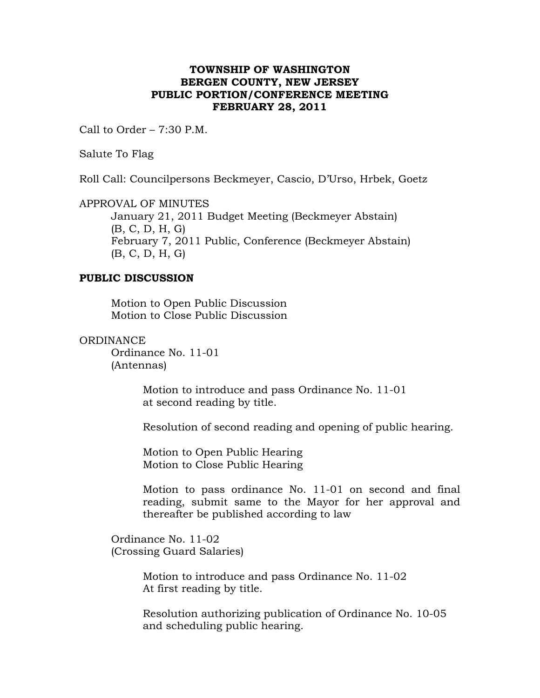## **TOWNSHIP OF WASHINGTON BERGEN COUNTY, NEW JERSEY PUBLIC PORTION/CONFERENCE MEETING FEBRUARY 28, 2011**

Call to Order – 7:30 P.M.

Salute To Flag

Roll Call: Councilpersons Beckmeyer, Cascio, D'Urso, Hrbek, Goetz

APPROVAL OF MINUTES

January 21, 2011 Budget Meeting (Beckmeyer Abstain) (B, C, D, H, G) February 7, 2011 Public, Conference (Beckmeyer Abstain) (B, C, D, H, G)

## **PUBLIC DISCUSSION**

Motion to Open Public Discussion Motion to Close Public Discussion

## **ORDINANCE**

Ordinance No. 11-01 (Antennas)

> Motion to introduce and pass Ordinance No. 11-01 at second reading by title.

Resolution of second reading and opening of public hearing.

 Motion to Open Public Hearing Motion to Close Public Hearing

Motion to pass ordinance No. 11-01 on second and final reading, submit same to the Mayor for her approval and thereafter be published according to law

 Ordinance No. 11-02 (Crossing Guard Salaries)

> Motion to introduce and pass Ordinance No. 11-02 At first reading by title.

 Resolution authorizing publication of Ordinance No. 10-05 and scheduling public hearing.